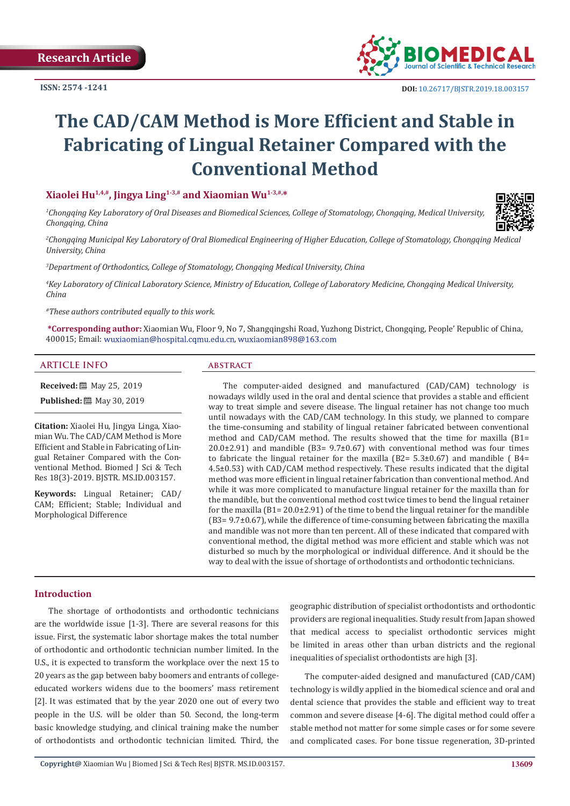

# **The CAD/CAM Method is More Efficient and Stable in Fabricating of Lingual Retainer Compared with the Conventional Method**

## **Xiaolei Hu1,4,#, Jingya Ling1-3,# and Xiaomian Wu1-3,#,\***

*1 Chongqing Key Laboratory of Oral Diseases and Biomedical Sciences, College of Stomatology, Chongqing, Medical University, Chongqing, China*



*2 Chongqing Municipal Key Laboratory of Oral Biomedical Engineering of Higher Education, College of Stomatology, Chongqing Medical University, China*

*3 Department of Orthodontics, College of Stomatology, Chongqing Medical University, China*

*4 Key Laboratory of Clinical Laboratory Science, Ministry of Education, College of Laboratory Medicine, Chongqing Medical University, China*

*#These authors contributed equally to this work.*

**\*Corresponding author:** Xiaomian Wu, Floor 9, No 7, Shangqingshi Road, Yuzhong District, Chongqing, People' Republic of China, 400015; Email: wuxiaomian@hospital.cqmu.edu.cn, wuxiaomian898@163.com

#### **ARTICLE INFO abstract**

**Received:** 圖 May 25, 2019

**Published:** 圖 May 30, 2019

**Citation:** Xiaolei Hu, Jingya Linga, Xiaomian Wu. The CAD/CAM Method is More Efficient and Stable in Fabricating of Lingual Retainer Compared with the Conventional Method. Biomed J Sci & Tech Res 18(3)-2019. BJSTR. MS.ID.003157.

**Keywords:** Lingual Retainer; CAD/ CAM; Efficient; Stable; Individual and Morphological Difference

The computer-aided designed and manufactured (CAD/CAM) technology is nowadays wildly used in the oral and dental science that provides a stable and efficient way to treat simple and severe disease. The lingual retainer has not change too much until nowadays with the CAD/CAM technology. In this study, we planned to compare the time-consuming and stability of lingual retainer fabricated between conventional method and CAD/CAM method. The results showed that the time for maxilla (B1=  $20.0\pm2.91$ ) and mandible (B3=  $9.7\pm0.67$ ) with conventional method was four times to fabricate the lingual retainer for the maxilla ( $B2 = 5.3 \pm 0.67$ ) and mandible ( $B4 =$ 4.5±0.53) with CAD/CAM method respectively. These results indicated that the digital method was more efficient in lingual retainer fabrication than conventional method. And while it was more complicated to manufacture lingual retainer for the maxilla than for the mandible, but the conventional method cost twice times to bend the lingual retainer for the maxilla ( $B1 = 20.0 \pm 2.91$ ) of the time to bend the lingual retainer for the mandible (B3= 9.7±0.67), while the difference of time-consuming between fabricating the maxilla and mandible was not more than ten percent. All of these indicated that compared with conventional method, the digital method was more efficient and stable which was not disturbed so much by the morphological or individual difference. And it should be the way to deal with the issue of shortage of orthodontists and orthodontic technicians.

#### **Introduction**

The shortage of orthodontists and orthodontic technicians are the worldwide issue [1-3]. There are several reasons for this issue. First, the systematic labor shortage makes the total number of orthodontic and orthodontic technician number limited. In the U.S., it is expected to transform the workplace over the next 15 to 20 years as the gap between baby boomers and entrants of collegeeducated workers widens due to the boomers' mass retirement [2]. It was estimated that by the year 2020 one out of every two people in the U.S. will be older than 50. Second, the long-term basic knowledge studying, and clinical training make the number of orthodontists and orthodontic technician limited. Third, the

geographic distribution of specialist orthodontists and orthodontic providers are regional inequalities. Study result from Japan showed that medical access to specialist orthodontic services might be limited in areas other than urban districts and the regional inequalities of specialist orthodontists are high [3].

The computer-aided designed and manufactured (CAD/CAM) technology is wildly applied in the biomedical science and oral and dental science that provides the stable and efficient way to treat common and severe disease [4-6]. The digital method could offer a stable method not matter for some simple cases or for some severe and complicated cases. For bone tissue regeneration, 3D-printed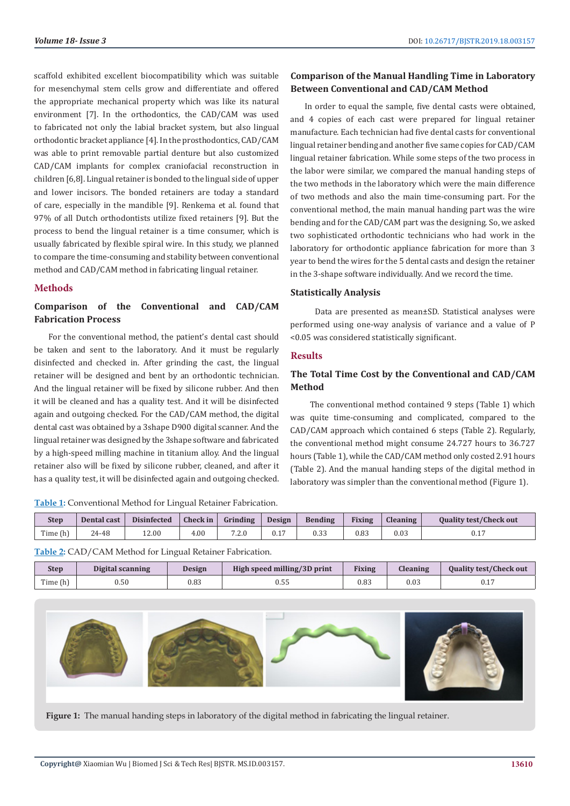scaffold exhibited excellent biocompatibility which was suitable for mesenchymal stem cells grow and differentiate and offered the appropriate mechanical property which was like its natural environment [7]. In the orthodontics, the CAD/CAM was used to fabricated not only the labial bracket system, but also lingual orthodontic bracket appliance [4]. In the prosthodontics, CAD/CAM was able to print removable partial denture but also customized CAD/CAM implants for complex craniofacial reconstruction in children [6,8]. Lingual retainer is bonded to the lingual side of upper and lower incisors. The bonded retainers are today a standard of care, especially in the mandible [9]. Renkema et al. found that 97% of all Dutch orthodontists utilize fixed retainers [9]. But the process to bend the lingual retainer is a time consumer, which is usually fabricated by flexible spiral wire. In this study, we planned to compare the time-consuming and stability between conventional method and CAD/CAM method in fabricating lingual retainer.

# **Methods**

# **Comparison of the Conventional and CAD/CAM Fabrication Process**

For the conventional method, the patient's dental cast should be taken and sent to the laboratory. And it must be regularly disinfected and checked in. After grinding the cast, the lingual retainer will be designed and bent by an orthodontic technician. And the lingual retainer will be fixed by silicone rubber. And then it will be cleaned and has a quality test. And it will be disinfected again and outgoing checked. For the CAD/CAM method, the digital dental cast was obtained by a 3shape D900 digital scanner. And the lingual retainer was designed by the 3shape software and fabricated by a high-speed milling machine in titanium alloy. And the lingual retainer also will be fixed by silicone rubber, cleaned, and after it has a quality test, it will be disinfected again and outgoing checked.

#### **Table 1:** Conventional Method for Lingual Retainer Fabrication.

# **Comparison of the Manual Handling Time in Laboratory Between Conventional and CAD/CAM Method**

In order to equal the sample, five dental casts were obtained, and 4 copies of each cast were prepared for lingual retainer manufacture. Each technician had five dental casts for conventional lingual retainer bending and another five same copies for CAD/CAM lingual retainer fabrication. While some steps of the two process in the labor were similar, we compared the manual handing steps of the two methods in the laboratory which were the main difference of two methods and also the main time-consuming part. For the conventional method, the main manual handing part was the wire bending and for the CAD/CAM part was the designing. So, we asked two sophisticated orthodontic technicians who had work in the laboratory for orthodontic appliance fabrication for more than 3 year to bend the wires for the 5 dental casts and design the retainer in the 3-shape software individually. And we record the time.

#### **Statistically Analysis**

 Data are presented as mean±SD. Statistical analyses were performed using one-way analysis of variance and a value of P <0.05 was considered statistically significant.

#### **Results**

# **The Total Time Cost by the Conventional and CAD/CAM Method**

 The conventional method contained 9 steps (Table 1) which was quite time-consuming and complicated, compared to the CAD/CAM approach which contained 6 steps (Table 2). Regularly, the conventional method might consume 24.727 hours to 36.727 hours (Table 1), while the CAD/CAM method only costed 2.91 hours (Table 2). And the manual handing steps of the digital method in laboratory was simpler than the conventional method (Figure 1).

| <b>Step</b> | <b>Dental cast</b> | <b>Disinfected</b> | Check in | Grinding | <b>Design</b> | Bending | <b>Fixing</b> | <b>Cleaning</b> | <b>Quality test/Check out</b> |
|-------------|--------------------|--------------------|----------|----------|---------------|---------|---------------|-----------------|-------------------------------|
| Time (h)    | 24-48              | 12.00              | 4.00     | 7.2.0    | 0.17          | 0.33    | 0.83          | $_{0.03}$       | U.L.                          |

# **Table 2:** CAD/CAM Method for Lingual Retainer Fabrication.

| <b>Step</b> | Digital scanning | Design    | High speed milling/3D print | <b>Fixing</b> | Cleaning     | <b>Quality test/Check out</b> |
|-------------|------------------|-----------|-----------------------------|---------------|--------------|-------------------------------|
| Time (h)    | ບ.ວບ             | $_{0.83}$ | U.S.                        | $0.83\,$      | 0.02<br>บ.บว | υ. τ.                         |



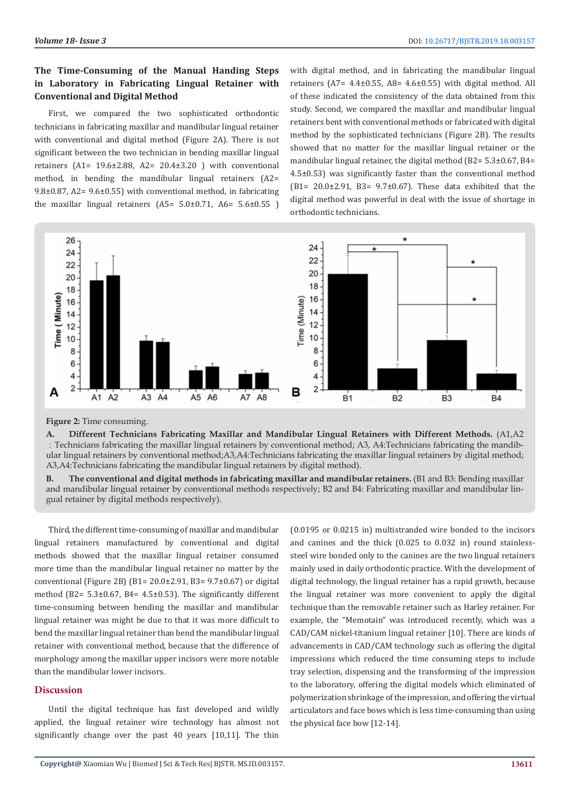# **The Time-Consuming of the Manual Handing Steps in Laboratory in Fabricating Lingual Retainer with Conventional and Digital Method**

First, we compared the two sophisticated orthodontic technicians in fabricating maxillar and mandibular lingual retainer with conventional and digital method (Figure 2A). There is not significant between the two technician in bending maxillar lingual retainers  $(A1= 19.6 \pm 2.88, A2= 20.4 \pm 3.20)$  with conventional method, in bending the mandibular lingual retainers (A2= 9.8±0.87, A2= 9.6±0.55) with conventional method, in fabricating the maxillar lingual retainers  $(A5= 5.0\pm0.71, A6= 5.6\pm0.55)$ 

with digital method, and in fabricating the mandibular lingual retainers (A7=  $4.4\pm0.55$ , A8=  $4.6\pm0.55$ ) with digital method. All of these indicated the consistency of the data obtained from this study. Second, we compared the maxillar and mandibular lingual retainers bent with conventional methods or fabricated with digital method by the sophisticated technicians (Figure 2B). The results showed that no matter for the maxillar lingual retainer or the mandibular lingual retainer, the digital method (B2= 5.3±0.67, B4= 4.5±0.53) was significantly faster than the conventional method (B1=  $20.0\pm2.91$ , B3=  $9.7\pm0.67$ ). These data exhibited that the digital method was powerful in deal with the issue of shortage in orthodontic technicians.



**Figure 2:** Time consuming.

**A. Different Technicians Fabricating Maxillar and Mandibular Lingual Retainers with Different Methods.** (A1,A2 :Technicians fabricating the maxillar lingual retainers by conventional method; A3, A4:Technicians fabricating the mandibular lingual retainers by conventional method;A3,A4:Technicians fabricating the maxillar lingual retainers by digital method; A3,A4:Technicians fabricating the mandibular lingual retainers by digital method).

**B. The conventional and digital methods in fabricating maxillar and mandibular retainers.** (B1 and B3: Bending maxillar and mandibular lingual retainer by conventional methods respectively; B2 and B4: Fabricating maxillar and mandibular lingual retainer by digital methods respectively).

Third, the different time-consuming of maxillar and mandibular lingual retainers manufactured by conventional and digital methods showed that the maxillar lingual retainer consumed more time than the mandibular lingual retainer no matter by the conventional (Figure 2B) (B1= 20.0±2.91, B3= 9.7±0.67) or digital method (B2=  $5.3\pm0.67$ , B4=  $4.5\pm0.53$ ). The significantly different time-consuming between bending the maxillar and mandibular lingual retainer was might be due to that it was more difficult to bend the maxillar lingual retainer than bend the mandibular lingual retainer with conventional method, because that the difference of morphology among the maxillar upper incisors were more notable than the mandibular lower incisors.

#### **Discussion**

Until the digital technique has fast developed and wildly applied, the lingual retainer wire technology has almost not significantly change over the past 40 years [10,11]. The thin (0.0195 or 0.0215 in) multistranded wire bonded to the incisors and canines and the thick (0.025 to 0.032 in) round stainlesssteel wire bonded only to the canines are the two lingual retainers mainly used in daily orthodontic practice. With the development of digital technology, the lingual retainer has a rapid growth, because the lingual retainer was more convenient to apply the digital technique than the removable retainer such as Harley retainer. For example, the "Memotain" was introduced recently, which was a CAD/CAM nickel-titanium lingual retainer [10]. There are kinds of advancements in CAD/CAM technology such as offering the digital impressions which reduced the time consuming steps to include tray selection, dispensing and the transforming of the impression to the laboratory, offering the digital models which eliminated of polymerization shrinkage of the impression, and offering the virtual articulators and face bows which is less time-consuming than using the physical face bow [12-14].